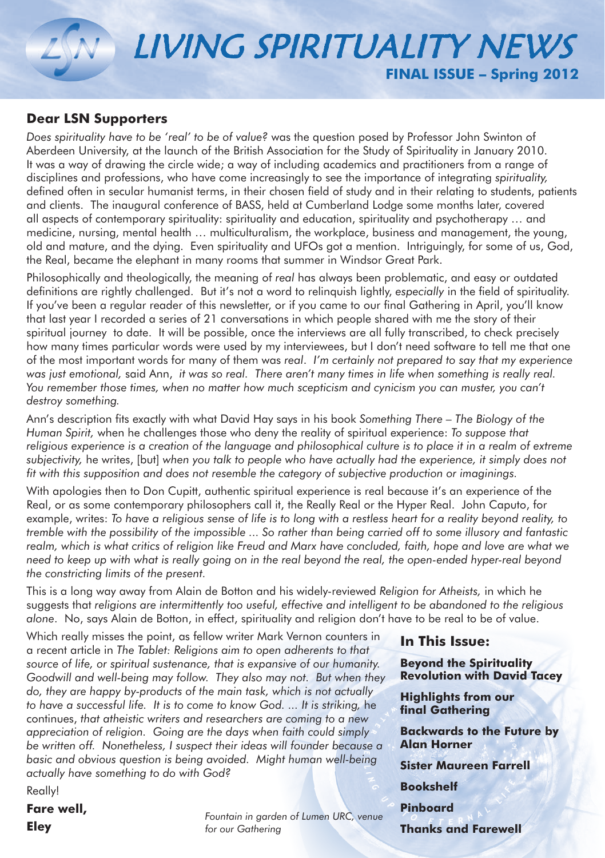# LIVING SPIRITUALITY NEWS **FINAL ISSUE – Spring 2012**

### **Dear LSN Supporters**

*Does spirituality have to be 'real' to be of value?* was the question posed by Professor John Swinton of Aberdeen University, at the launch of the British Association for the Study of Spirituality in January 2010. It was a way of drawing the circle wide; a way of including academics and practitioners from a range of disciplines and professions, who have come increasingly to see the importance of integrating *spirituality,* defined often in secular humanist terms, in their chosen field of study and in their relating to students, patients and clients. The inaugural conference of BASS, held at Cumberland Lodge some months later, covered all aspects of contemporary spirituality: spirituality and education, spirituality and psychotherapy … and medicine, nursing, mental health … multiculturalism, the workplace, business and management, the young, old and mature, and the dying. Even spirituality and UFOs got a mention. Intriguingly, for some of us, God, the Real, became the elephant in many rooms that summer in Windsor Great Park.

Philosophically and theologically, the meaning of *real* has always been problematic, and easy or outdated definitions are rightly challenged. But it's not a word to relinquish lightly, *especially* in the field of spirituality. If you've been a regular reader of this newsletter, or if you came to our final Gathering in April, you'll know that last year I recorded a series of 21 conversations in which people shared with me the story of their spiritual journey to date. It will be possible, once the interviews are all fully transcribed, to check precisely how many times particular words were used by my interviewees, but I don't need software to tell me that one of the most important words for many of them was *real*. *I'm certainly not prepared to say that my experience*  was just emotional, said Ann, *it was so real. There aren't many times in life when something is really real.* You remember those times, when no matter how much scepticism and cynicism you can muster, you can't *destroy something.*

Ann's description fits exactly with what David Hay says in his book *Something There – The Biology of the Human Spirit,* when he challenges those who deny the reality of spiritual experience: *To suppose that religious experience is a creation of the language and philosophical culture is to place it in a realm of extreme subjectivity,* he writes, [but] *when you talk to people who have actually had the experience, it simply does not fit with this supposition and does not resemble the category of subjective production or imaginings.*

With apologies then to Don Cupitt, authentic spiritual experience is real because it's an experience of the Real, or as some contemporary philosophers call it, the Really Real or the Hyper Real. John Caputo, for example, writes: *To have a religious sense of life is to long with a restless heart for a reality beyond reality, to tremble with the possibility of the impossible ... So rather than being carried off to some illusory and fantastic*  realm, which is what critics of religion like Freud and Marx have concluded, faith, hope and love are what we *need to keep up with what is really going on in the real beyond the real, the open-ended hyper-real beyond the constricting limits of the present.*

This is a long way away from Alain de Botton and his widely-reviewed *Religion for Atheists,* in which he suggests that *religions are intermittently too useful, effective and intelligent to be abandoned to the religious alone*. No, says Alain de Botton, in effect, spirituality and religion don't have to be real to be of value.

Which really misses the point, as fellow writer Mark Vernon counters in a recent article in *The Tablet: Religions aim to open adherents to that source of life, or spiritual sustenance, that is expansive of our humanity. Goodwill and well-being may follow. They also may not. But when they do, they are happy by-products of the main task, which is not actually*  to have a successful life. It is to come to know God. ... It is striking, he continues, *that atheistic writers and researchers are coming to a new appreciation of religion. Going are the days when faith could simply be written off. Nonetheless, I suspect their ideas will founder because a basic and obvious question is being avoided. Might human well-being actually have something to do with God?*

Really!

**Fare well, Eley**

*Fountain in garden of Lumen URC, venue for our Gathering*

**In This Issue:**

**Beyond the Spirituality Revolution with David Tacey**

**Highlights from our final Gathering**

**Backwards to the Future by Alan Horner** 

**Sister Maureen Farrell**

**Bookshelf**

**Pinboard**

**Thanks and Farewell**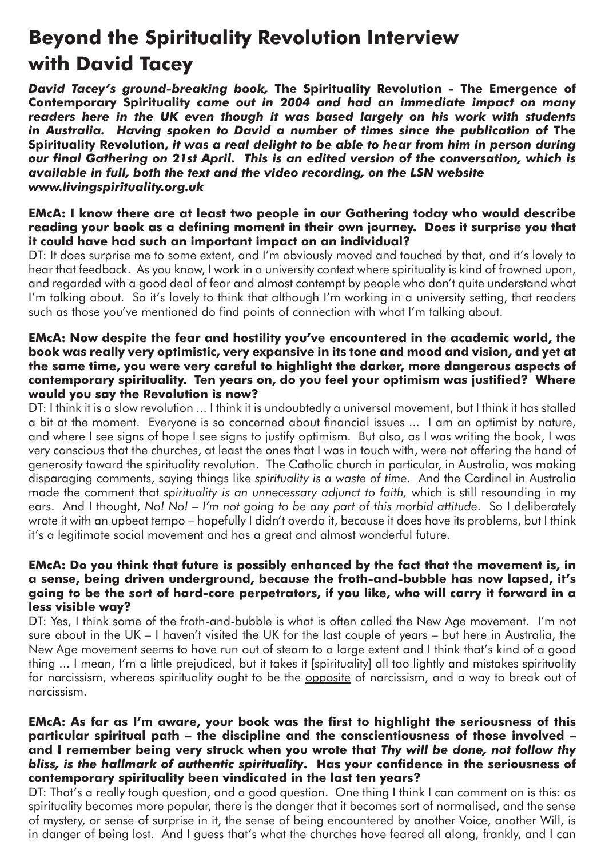## **Beyond the Spirituality Revolution Interview with David Tacey**

*David Tacey's ground-breaking book,* **The Spirituality Revolution - The Emergence of Contemporary Spirituality** *came out in 2004 and had an immediate impact on many readers here in the UK even though it was based largely on his work with students in Australia. Having spoken to David a number of times since the publication of The* **Spirituality Revolution,** *it was a real delight to be able to hear from him in person during our final Gathering on 21st April. This is an edited version of the conversation, which is available in full, both the text and the video recording, on the LSN website www.livingspirituality.org.uk*

#### **EMcA: I know there are at least two people in our Gathering today who would describe reading your book as a defining moment in their own journey. Does it surprise you that it could have had such an important impact on an individual?**

DT: It does surprise me to some extent, and I'm obviously moved and touched by that, and it's lovely to hear that feedback. As you know, I work in a university context where spirituality is kind of frowned upon, and regarded with a good deal of fear and almost contempt by people who don't quite understand what I'm talking about. So it's lovely to think that although I'm working in a university setting, that readers such as those you've mentioned do find points of connection with what I'm talking about.

#### **EMcA: Now despite the fear and hostility you've encountered in the academic world, the book was really very optimistic, very expansive in its tone and mood and vision, and yet at the same time, you were very careful to highlight the darker, more dangerous aspects of contemporary spirituality. Ten years on, do you feel your optimism was justified? Where would you say the Revolution is now?**

DT: I think it is a slow revolution ... I think it is undoubtedly a universal movement, but I think it has stalled a bit at the moment. Everyone is so concerned about financial issues ... I am an optimist by nature, and where I see signs of hope I see signs to justify optimism. But also, as I was writing the book, I was very conscious that the churches, at least the ones that I was in touch with, were not offering the hand of generosity toward the spirituality revolution. The Catholic church in particular, in Australia, was making disparaging comments, saying things like *spirituality is a waste of time*. And the Cardinal in Australia made the comment that *spirituality is an unnecessary adjunct to faith,* which is still resounding in my ears. And I thought, *No! No! – I'm not going to be any part of this morbid attitude*. So I deliberately wrote it with an upbeat tempo – hopefully I didn't overdo it, because it does have its problems, but I think it's a legitimate social movement and has a great and almost wonderful future.

#### **EMcA: Do you think that future is possibly enhanced by the fact that the movement is, in a sense, being driven underground, because the froth-and-bubble has now lapsed, it's going to be the sort of hard-core perpetrators, if you like, who will carry it forward in a less visible way?**

DT: Yes, I think some of the froth-and-bubble is what is often called the New Age movement. I'm not sure about in the UK – I haven't visited the UK for the last couple of years – but here in Australia, the New Age movement seems to have run out of steam to a large extent and I think that's kind of a good thing ... I mean, I'm a little prejudiced, but it takes it [spirituality] all too lightly and mistakes spirituality for narcissism, whereas spirituality ought to be the opposite of narcissism, and a way to break out of narcissism.

#### **EMcA: As far as I'm aware, your book was the first to highlight the seriousness of this particular spiritual path – the discipline and the conscientiousness of those involved – and I remember being very struck when you wrote that** *Thy will be done, not follow thy bliss, is the hallmark of authentic spirituality***. Has your confidence in the seriousness of contemporary spirituality been vindicated in the last ten years?**

DT: That's a really tough question, and a good question. One thing I think I can comment on is this: as spirituality becomes more popular, there is the danger that it becomes sort of normalised, and the sense of mystery, or sense of surprise in it, the sense of being encountered by another Voice, another Will, is in danger of being lost. And I guess that's what the churches have feared all along, frankly, and I can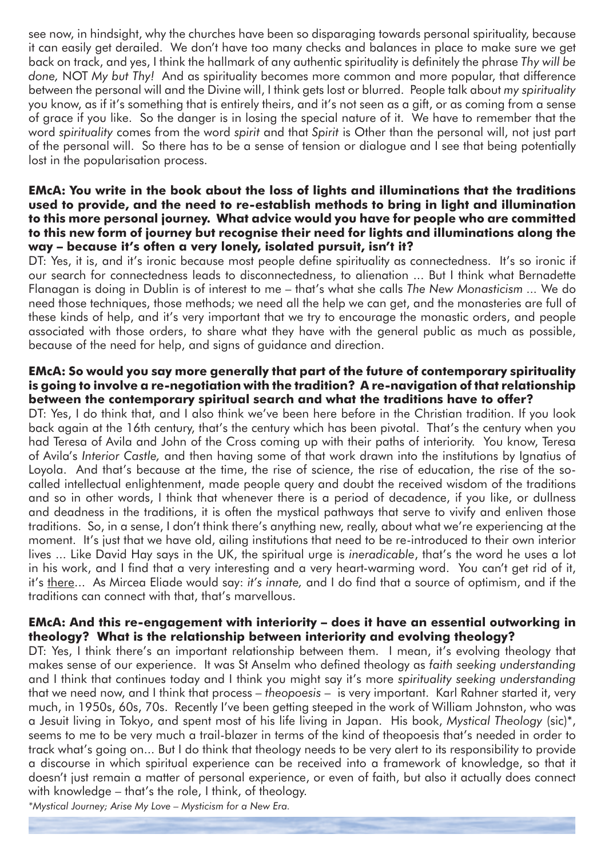see now, in hindsight, why the churches have been so disparaging towards personal spirituality, because it can easily get derailed. We don't have too many checks and balances in place to make sure we get back on track, and yes, I think the hallmark of any authentic spirituality is definitely the phrase *Thy will be done,* NOT *My but Thy!* And as spirituality becomes more common and more popular, that difference between the personal will and the Divine will, I think gets lost or blurred. People talk about *my spirituality* you know, as if it's something that is entirely theirs, and it's not seen as a gift, or as coming from a sense of grace if you like. So the danger is in losing the special nature of it. We have to remember that the word *spirituality* comes from the word *spirit* and that *Spirit* is Other than the personal will, not just part of the personal will. So there has to be a sense of tension or dialogue and I see that being potentially lost in the popularisation process.

#### **EMcA: You write in the book about the loss of lights and illuminations that the traditions used to provide, and the need to re-establish methods to bring in light and illumination to this more personal journey. What advice would you have for people who are committed to this new form of journey but recognise their need for lights and illuminations along the way – because it's often a very lonely, isolated pursuit, isn't it?**

DT: Yes, it is, and it's ironic because most people define spirituality as connectedness. It's so ironic if our search for connectedness leads to disconnectedness, to alienation ... But I think what Bernadette Flanagan is doing in Dublin is of interest to me – that's what she calls *The New Monasticism ...* We do need those techniques, those methods; we need all the help we can get, and the monasteries are full of these kinds of help, and it's very important that we try to encourage the monastic orders, and people associated with those orders, to share what they have with the general public as much as possible, because of the need for help, and signs of guidance and direction.

#### **EMcA: So would you say more generally that part of the future of contemporary spirituality is going to involve a re-negotiation with the tradition? A re-navigation of that relationship between the contemporary spiritual search and what the traditions have to offer?**

DT: Yes, I do think that, and I also think we've been here before in the Christian tradition. If you look back again at the 16th century, that's the century which has been pivotal. That's the century when you had Teresa of Avila and John of the Cross coming up with their paths of interiority. You know, Teresa of Avila's *Interior Castle,* and then having some of that work drawn into the institutions by Ignatius of Loyola. And that's because at the time, the rise of science, the rise of education, the rise of the socalled intellectual enlightenment, made people query and doubt the received wisdom of the traditions and so in other words, I think that whenever there is a period of decadence, if you like, or dullness and deadness in the traditions, it is often the mystical pathways that serve to vivify and enliven those traditions. So, in a sense, I don't think there's anything new, really, about what we're experiencing at the moment. It's just that we have old, ailing institutions that need to be re-introduced to their own interior lives ... Like David Hay says in the UK, the spiritual urge is *ineradicable*, that's the word he uses a lot in his work, and I find that a very interesting and a very heart-warming word. You can't get rid of it, it's there... As Mircea Eliade would say: *it's innate,* and I do find that a source of optimism, and if the traditions can connect with that, that's marvellous.

#### **EMcA: And this re-engagement with interiority – does it have an essential outworking in theology? What is the relationship between interiority and evolving theology?**

DT: Yes, I think there's an important relationship between them. I mean, it's evolving theology that makes sense of our experience. It was St Anselm who defined theology as *faith seeking understanding* and I think that continues today and I think you might say it's more *spirituality seeking understanding* that we need now, and I think that process – *theopoesis* – is very important. Karl Rahner started it, very much, in 1950s, 60s, 70s. Recently I've been getting steeped in the work of William Johnston, who was a Jesuit living in Tokyo, and spent most of his life living in Japan. His book, *Mystical Theology* (sic)\*, seems to me to be very much a trail-blazer in terms of the kind of theopoesis that's needed in order to track what's going on... But I do think that theology needs to be very alert to its responsibility to provide a discourse in which spiritual experience can be received into a framework of knowledge, so that it doesn't just remain a matter of personal experience, or even of faith, but also it actually does connect with knowledge – that's the role, I think, of theology.

*\*Mystical Journey; Arise My Love – Mysticism for a New Era.*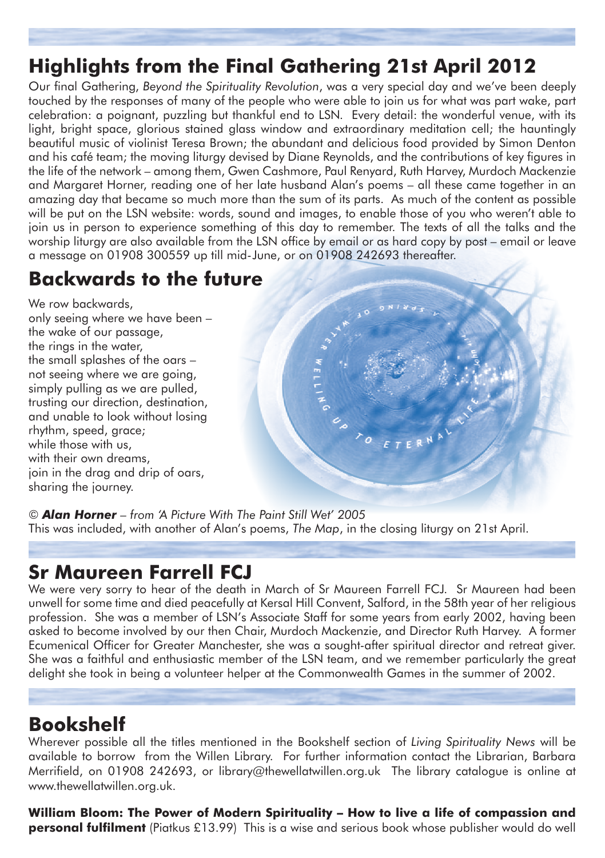## **Highlights from the Final Gathering 21st April 2012**

Our final Gathering, *Beyond the Spirituality Revolution*, was a very special day and we've been deeply touched by the responses of many of the people who were able to join us for what was part wake, part celebration: a poignant, puzzling but thankful end to LSN. Every detail: the wonderful venue, with its light, bright space, glorious stained glass window and extraordinary meditation cell; the hauntingly beautiful music of violinist Teresa Brown; the abundant and delicious food provided by Simon Denton and his café team; the moving liturgy devised by Diane Reynolds, and the contributions of key figures in the life of the network – among them, Gwen Cashmore, Paul Renyard, Ruth Harvey, Murdoch Mackenzie and Margaret Horner, reading one of her late husband Alan's poems – all these came together in an amazing day that became so much more than the sum of its parts. As much of the content as possible will be put on the LSN website: words, sound and images, to enable those of you who weren't able to join us in person to experience something of this day to remember. The texts of all the talks and the worship liturgy are also available from the LSN office by email or as hard copy by post – email or leave a message on 01908 300559 up till mid-June, or on 01908 242693 thereafter.

## **Backwards to the future**

We row backwards, only seeing where we have been – the wake of our passage, the rings in the water, the small splashes of the oars – not seeing where we are going, simply pulling as we are pulled, trusting our direction, destination, and unable to look without losing rhythm, speed, grace; while those with us, with their own dreams. join in the drag and drip of oars, sharing the journey.

*© Alan Horner – from 'A Picture With The Paint Still Wet' 2005*  This was included, with another of Alan's poems, *The Map*, in the closing liturgy on 21st April.

## **Sr Maureen Farrell FCJ**

We were very sorry to hear of the death in March of Sr Maureen Farrell FCJ. Sr Maureen had been unwell for some time and died peacefully at Kersal Hill Convent, Salford, in the 58th year of her religious profession. She was a member of LSN's Associate Staff for some years from early 2002, having been asked to become involved by our then Chair, Murdoch Mackenzie, and Director Ruth Harvey. A former Ecumenical Officer for Greater Manchester, she was a sought-after spiritual director and retreat giver. She was a faithful and enthusiastic member of the LSN team, and we remember particularly the great delight she took in being a volunteer helper at the Commonwealth Games in the summer of 2002.

PRINTING OF STERM

## **Bookshelf**

Wherever possible all the titles mentioned in the Bookshelf section of *Living Spirituality News* will be available to borrow from the Willen Library. For further information contact the Librarian, Barbara Merrifield, on 01908 242693, or library@thewellatwillen.org.uk The library catalogue is online at www.thewellatwillen.org.uk.

**William Bloom: The Power of Modern Spirituality – How to live a life of compassion and personal fulfilment** (Piatkus £13.99) This is a wise and serious book whose publisher would do well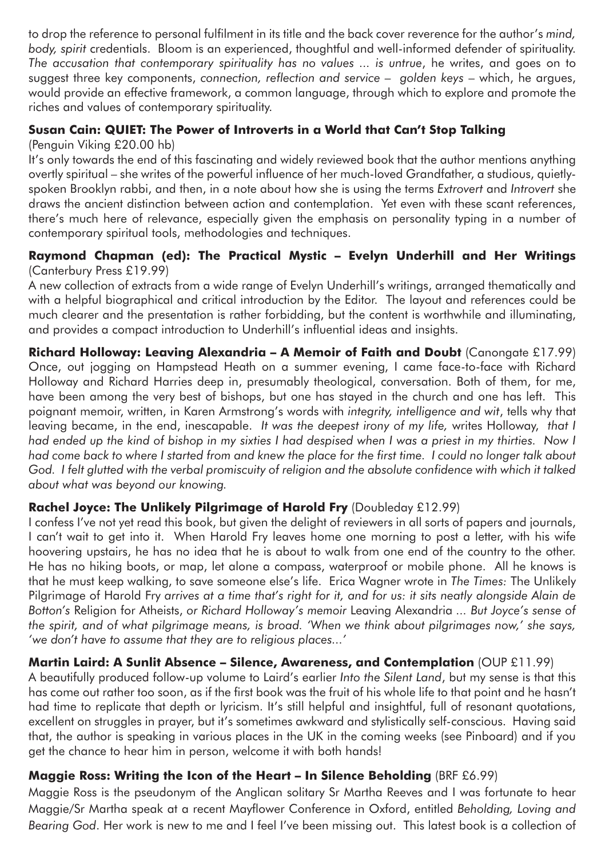to drop the reference to personal fulfilment in its title and the back cover reverence for the author's *mind, body, spirit* credentials. Bloom is an experienced, thoughtful and well-informed defender of spirituality. *The accusation that contemporary spirituality has no values ... is untrue*, he writes, and goes on to suggest three key components, *connection, reflection and service – golden keys* – which, he argues, would provide an effective framework, a common language, through which to explore and promote the riches and values of contemporary spirituality.

### **Susan Cain: QUIET: The Power of Introverts in a World that Can't Stop Talking**

(Penguin Viking £20.00 hb)

It's only towards the end of this fascinating and widely reviewed book that the author mentions anything overtly spiritual – she writes of the powerful influence of her much-loved Grandfather, a studious, quietlyspoken Brooklyn rabbi, and then, in a note about how she is using the terms *Extrovert* and *Introvert* she draws the ancient distinction between action and contemplation. Yet even with these scant references, there's much here of relevance, especially given the emphasis on personality typing in a number of contemporary spiritual tools, methodologies and techniques.

### **Raymond Chapman (ed): The Practical Mystic – Evelyn Underhill and Her Writings** (Canterbury Press £19.99)

A new collection of extracts from a wide range of Evelyn Underhill's writings, arranged thematically and with a helpful biographical and critical introduction by the Editor. The layout and references could be much clearer and the presentation is rather forbidding, but the content is worthwhile and illuminating, and provides a compact introduction to Underhill's influential ideas and insights.

**Richard Holloway: Leaving Alexandria – A Memoir of Faith and Doubt** (Canongate £17.99) Once, out jogging on Hampstead Heath on a summer evening, I came face-to-face with Richard Holloway and Richard Harries deep in, presumably theological, conversation. Both of them, for me, have been among the very best of bishops, but one has stayed in the church and one has left. This poignant memoir, written, in Karen Armstrong's words with *integrity, intelligence and wit*, tells why that leaving became, in the end, inescapable. *It was the deepest irony of my life,* writes Holloway, *that I*  had ended up the kind of bishop in my sixties I had despised when I was a priest in my thirties. Now I *had come back to where I started from and knew the place for the first time. I could no longer talk about God. I felt glutted with the verbal promiscuity of religion and the absolute confidence with which it talked about what was beyond our knowing.*

### **Rachel Joyce: The Unlikely Pilgrimage of Harold Fry** (Doubleday £12.99)

I confess I've not yet read this book, but given the delight of reviewers in all sorts of papers and journals, I can't wait to get into it. When Harold Fry leaves home one morning to post a letter, with his wife hoovering upstairs, he has no idea that he is about to walk from one end of the country to the other. He has no hiking boots, or map, let alone a compass, waterproof or mobile phone. All he knows is that he must keep walking, to save someone else's life. Erica Wagner wrote in *The Times:* The Unlikely Pilgrimage of Harold Fry arrives at a time that's right for it, and for us: it sits neatly alongside Alain de *Botton's* Religion for Atheists, *or Richard Holloway's memoir* Leaving Alexandria *... But Joyce's sense of the spirit, and of what pilgrimage means, is broad. 'When we think about pilgrimages now,' she says, 'we don't have to assume that they are to religious places...'*

### **Martin Laird: A Sunlit Absence – Silence, Awareness, and Contemplation** (OUP £11.99)

A beautifully produced follow-up volume to Laird's earlier *Into the Silent Land*, but my sense is that this has come out rather too soon, as if the first book was the fruit of his whole life to that point and he hasn't had time to replicate that depth or lyricism. It's still helpful and insightful, full of resonant quotations, excellent on struggles in prayer, but it's sometimes awkward and stylistically self-conscious. Having said that, the author is speaking in various places in the UK in the coming weeks (see Pinboard) and if you get the chance to hear him in person, welcome it with both hands!

### **Maggie Ross: Writing the Icon of the Heart – In Silence Beholding** (BRF £6.99)

Maggie Ross is the pseudonym of the Anglican solitary Sr Martha Reeves and I was fortunate to hear Maggie/Sr Martha speak at a recent Mayflower Conference in Oxford, entitled *Beholding, Loving and Bearing God*. Her work is new to me and I feel I've been missing out. This latest book is a collection of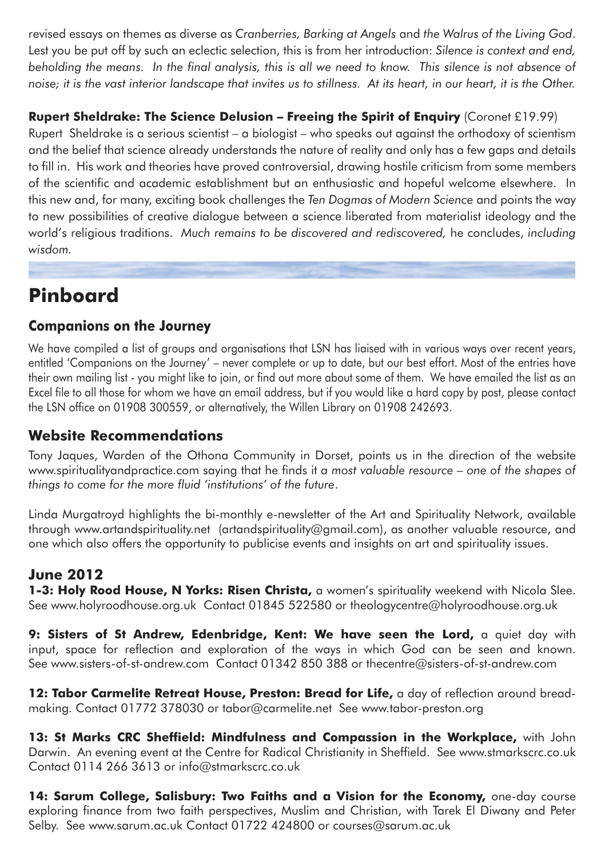revised essays on themes as diverse as *Cranberries, Barking at Angels* and *the Walrus of the Living God*. Lest you be put off by such an eclectic selection, this is from her introduction: *Silence is context and end, beholding the means. In the final analysis, this is all we need to know. This silence is not absence of*  noise; it is the vast interior landscape that invites us to stillness. At its heart, in our heart, it is the Other.

## **Rupert Sheldrake: The Science Delusion – Freeing the Spirit of Enquiry** (Coronet £19.99)

Rupert Sheldrake is a serious scientist – a biologist – who speaks out against the orthodoxy of scientism and the belief that science already understands the nature of reality and only has a few gaps and details to fill in. His work and theories have proved controversial, drawing hostile criticism from some members of the scientific and academic establishment but an enthusiastic and hopeful welcome elsewhere. In this new and, for many, exciting book challenges the *Ten Dogmas of Modern Science* and points the way to new possibilities of creative dialogue between a science liberated from materialist ideology and the world's religious traditions. *Much remains to be discovered and rediscovered,* he concludes, *including wisdom.*

## **Pinboard**

## **Companions on the Journey**

We have compiled a list of groups and organisations that LSN has liaised with in various ways over recent years, entitled 'Companions on the Journey' – never complete or up to date, but our best effort. Most of the entries have their own mailing list - you might like to join, or find out more about some of them. We have emailed the list as an Excel file to all those for whom we have an email address, but if you would like a hard copy by post, please contact the LSN office on 01908 300559, or alternatively, the Willen Library on 01908 242693.

## **Website Recommendations**

Tony Jaques, Warden of the Othona Community in Dorset, points us in the direction of the website www.spiritualityandpractice.com saying that he finds it *a most valuable resource – one of the shapes of things to come for the more fluid 'institutions' of the future*.

Linda Murgatroyd highlights the bi-monthly e-newsletter of the Art and Spirituality Network, available through www.artandspirituality.net (artandspirituality@gmail.com), as another valuable resource, and one which also offers the opportunity to publicise events and insights on art and spirituality issues.

## **June 2012**

**1-3: Holy Rood House, N Yorks: Risen Christa,** a women's spirituality weekend with Nicola Slee. See www.holyroodhouse.org.uk Contact 01845 522580 or theologycentre@holyroodhouse.org.uk

9: Sisters of St Andrew, Edenbridge, Kent: We have seen the Lord, a quiet day with input, space for reflection and exploration of the ways in which God can be seen and known. See www.sisters-of-st-andrew.com Contact 01342 850 388 or thecentre@sisters-of-st-andrew.com

12: Tabor Carmelite Retreat House, Preston: Bread for Life, a day of reflection around breadmaking. Contact 01772 378030 or tabor@carmelite.net See www.tabor-preston.org

**13: St Marks CRC Sheffield: Mindfulness and Compassion in the Workplace,** with John Darwin. An evening event at the Centre for Radical Christianity in Sheffield. See www.stmarkscrc.co.uk Contact 0114 266 3613 or info@stmarkscrc.co.uk

**14: Sarum College, Salisbury: Two Faiths and a Vision for the Economy,** one-day course exploring finance from two faith perspectives, Muslim and Christian, with Tarek El Diwany and Peter Selby. See www.sarum.ac.uk Contact 01722 424800 or courses@sarum.ac.uk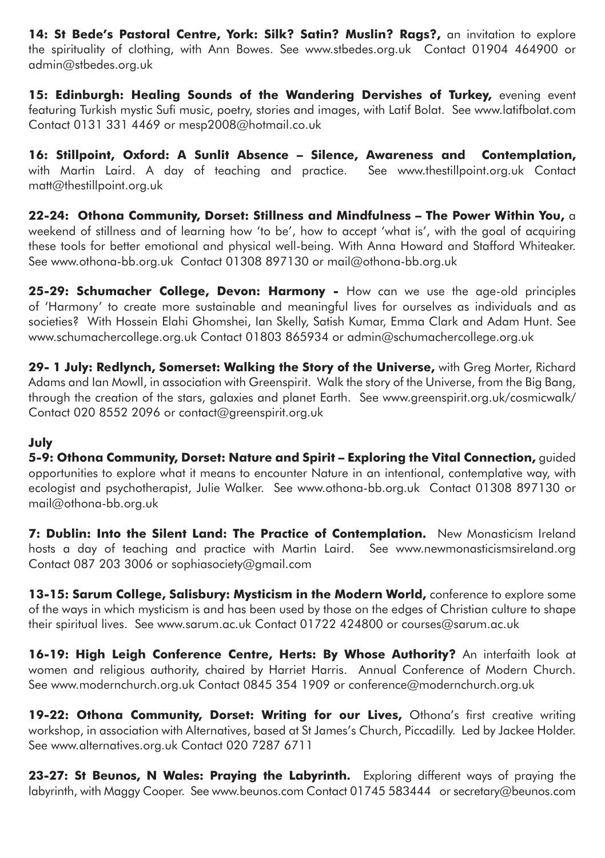**14: St Bede's Pastoral Centre, York: Silk? Satin? Muslin? Rags?,** an invitation to explore the spirituality of clothing, with Ann Bowes. See www.stbedes.org.uk Contact 01904 464900 or admin@stbedes.org.uk

**15: Edinburgh: Healing Sounds of the Wandering Dervishes of Turkey,** evening event featuring Turkish mystic Sufi music, poetry, stories and images, with Latif Bolat. See www.latifbolat.com Contact 0131 331 4469 or mesp2008@hotmail.co.uk

**16: Stillpoint, Oxford: A Sunlit Absence – Silence, Awareness and Contemplation,**  with Martin Laird. A day of teaching and practice. See www.thestillpoint.org.uk Contact matt@thestillpoint.org.uk

**22-24: Othona Community, Dorset: Stillness and Mindfulness – The Power Within You,** a weekend of stillness and of learning how 'to be', how to accept 'what is', with the goal of acquiring these tools for better emotional and physical well-being. With Anna Howard and Stafford Whiteaker. See www.othona-bb.org.uk Contact 01308 897130 or mail@othona-bb.org.uk

**25-29: Schumacher College, Devon: Harmony -** How can we use the age-old principles of 'Harmony' to create more sustainable and meaningful lives for ourselves as individuals and as societies? With Hossein Elahi Ghomshei, Ian Skelly, Satish Kumar, Emma Clark and Adam Hunt. See www.schumachercollege.org.uk Contact 01803 865934 or admin@schumachercollege.org.uk

**29- 1 July: Redlynch, Somerset: Walking the Story of the Universe,** with Greg Morter, Richard Adams and Ian Mowll, in association with Greenspirit. Walk the story of the Universe, from the Big Bang, through the creation of the stars, galaxies and planet Earth. See www.greenspirit.org.uk/cosmicwalk/ Contact 020 8552 2096 or contact@greenspirit.org.uk

### **July**

**5-9: Othona Community, Dorset: Nature and Spirit – Exploring the Vital Connection,** guided opportunities to explore what it means to encounter Nature in an intentional, contemplative way, with ecologist and psychotherapist, Julie Walker. See www.othona-bb.org.uk Contact 01308 897130 or mail@othona-bb.org.uk

**7: Dublin: Into the Silent Land: The Practice of Contemplation.** New Monasticism Ireland hosts a day of teaching and practice with Martin Laird. See www.newmonasticismsireland.org Contact 087 203 3006 or sophiasociety@gmail.com

**13-15: Sarum College, Salisbury: Mysticism in the Modern World,** conference to explore some of the ways in which mysticism is and has been used by those on the edges of Christian culture to shape their spiritual lives. See www.sarum.ac.uk Contact 01722 424800 or courses@sarum.ac.uk

**16-19: High Leigh Conference Centre, Herts: By Whose Authority?** An interfaith look at women and religious authority, chaired by Harriet Harris. Annual Conference of Modern Church. See www.modernchurch.org.uk Contact 0845 354 1909 or conference@modernchurch.org.uk

19-22: Othona Community, Dorset: Writing for our Lives, Othona's first creative writing workshop, in association with Alternatives, based at St James's Church, Piccadilly. Led by Jackee Holder. See www.alternatives.org.uk Contact 020 7287 6711

23-27: St Beunos, N Wales: Praying the Labyrinth. Exploring different ways of praying the labyrinth, with Maggy Cooper. See www.beunos.com Contact 01745 583444 or secretary@beunos.com